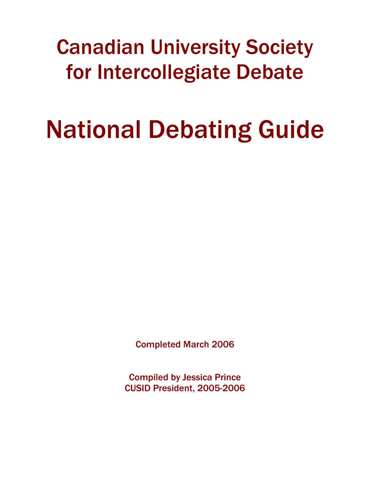## Canadian University Society for Intercollegiate Debate

# National Debating Guide

Completed March 2006

Compiled by Jessica Prince CUSID President, 2005-2006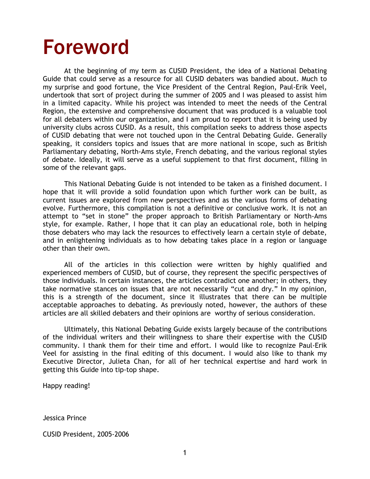## Foreword

At the beginning of my term as CUSID President, the idea of a National Debating Guide that could serve as a resource for all CUSID debaters was bandied about. Much to my surprise and good fortune, the Vice President of the Central Region, Paul-Erik Veel, undertook that sort of project during the summer of 2005 and I was pleased to assist him in a limited capacity. While his project was intended to meet the needs of the Central Region, the extensive and comprehensive document that was produced is a valuable tool for all debaters within our organization, and I am proud to report that it is being used by university clubs across CUSID. As a result, this compilation seeks to address those aspects of CUSID debating that were not touched upon in the Central Debating Guide. Generally speaking, it considers topics and issues that are more national in scope, such as British Parliamentary debating, North-Ams style, French debating, and the various regional styles of debate. Ideally, it will serve as a useful supplement to that first document, filling in some of the relevant gaps.

This National Debating Guide is not intended to be taken as a finished document. I hope that it will provide a solid foundation upon which further work can be built, as current issues are explored from new perspectives and as the various forms of debating evolve. Furthermore, this compilation is not a definitive or conclusive work. It is not an attempt to "set in stone" the proper approach to British Parliamentary or North-Ams style, for example. Rather, I hope that it can play an educational role, both in helping those debaters who may lack the resources to effectively learn a certain style of debate, and in enlightening individuals as to how debating takes place in a region or language other than their own.

All of the articles in this collection were written by highly qualified and experienced members of CUSID, but of course, they represent the specific perspectives of those individuals. In certain instances, the articles contradict one another; in others, they take normative stances on issues that are not necessarily "cut and dry." In my opinion, this is a strength of the document, since it illustrates that there can be multiple acceptable approaches to debating. As previously noted, however, the authors of these articles are all skilled debaters and their opinions are worthy of serious consideration.

Ultimately, this National Debating Guide exists largely because of the contributions of the individual writers and their willingness to share their expertise with the CUSID community. I thank them for their time and effort. I would like to recognize Paul-Erik Veel for assisting in the final editing of this document. I would also like to thank my Executive Director, Julieta Chan, for all of her technical expertise and hard work in getting this Guide into tip-top shape.

Happy reading!

Jessica Prince

CUSID President, 2005-2006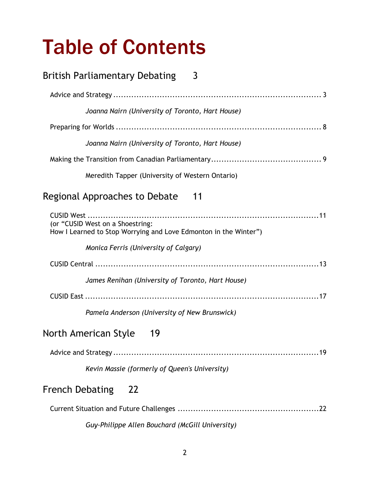# Table of Contents

| <b>British Parliamentary Debating</b><br>3                                                           |
|------------------------------------------------------------------------------------------------------|
|                                                                                                      |
| Joanna Nairn (University of Toronto, Hart House)                                                     |
|                                                                                                      |
| Joanna Nairn (University of Toronto, Hart House)                                                     |
|                                                                                                      |
| Meredith Tapper (University of Western Ontario)                                                      |
| Regional Approaches to Debate<br>- 11                                                                |
| (or "CUSID West on a Shoestring:<br>How I Learned to Stop Worrying and Love Edmonton in the Winter") |
| Monica Ferris (University of Calgary)                                                                |
|                                                                                                      |
| James Renihan (University of Toronto, Hart House)                                                    |
|                                                                                                      |
| Pamela Anderson (University of New Brunswick)                                                        |
| North American Style<br>19                                                                           |
|                                                                                                      |
| Kevin Massie (formerly of Queen's University)                                                        |
| <b>French Debating</b><br>22                                                                         |
|                                                                                                      |
| Guy-Philippe Allen Bouchard (McGill University)                                                      |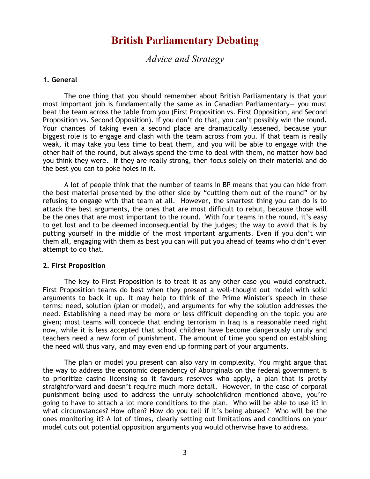## **British Parliamentary Debating**

*Advice and Strategy* 

#### <span id="page-3-0"></span>**1. General**

The one thing that you should remember about British Parliamentary is that your most important job is fundamentally the same as in Canadian Parliamentary— you must beat the team across the table from you (First Proposition vs. First Opposition, and Second Proposition vs. Second Opposition). If you don't do that, you can't possibly win the round. Your chances of taking even a second place are dramatically lessened, because your biggest role is to engage and clash with the team across from you. If that team is really weak, it may take you less time to beat them, and you will be able to engage with the other half of the round, but always spend the time to deal with them, no matter how bad you think they were. If they are really strong, then focus solely on their material and do the best you can to poke holes in it.

A lot of people think that the number of teams in BP means that you can hide from the best material presented by the other side by "cutting them out of the round" or by refusing to engage with that team at all. However, the smartest thing you can do is to attack the best arguments, the ones that are most difficult to rebut, because those will be the ones that are most important to the round. With four teams in the round, it's easy to get lost and to be deemed inconsequential by the judges; the way to avoid that is by putting yourself in the middle of the most important arguments. Even if you don't win them all, engaging with them as best you can will put you ahead of teams who didn't even attempt to do that.

#### **2. First Proposition**

The key to First Proposition is to treat it as any other case you would construct. First Proposition teams do best when they present a well-thought out model with solid arguments to back it up. It may help to think of the Prime Minister's speech in these terms: need, solution (plan or model), and arguments for why the solution addresses the need. Establishing a need may be more or less difficult depending on the topic you are given; most teams will concede that ending terrorism in Iraq is a reasonable need right now, while it is less accepted that school children have become dangerously unruly and teachers need a new form of punishment. The amount of time you spend on establishing the need will thus vary, and may even end up forming part of your arguments.

The plan or model you present can also vary in complexity. You might argue that the way to address the economic dependency of Aboriginals on the federal government is to prioritize casino licensing so it favours reserves who apply, a plan that is pretty straightforward and doesn't require much more detail. However, in the case of corporal punishment being used to address the unruly schoolchildren mentioned above, you're going to have to attach a lot more conditions to the plan. Who will be able to use it? In what circumstances? How often? How do you tell if it's being abused? Who will be the ones monitoring it? A lot of times, clearly setting out limitations and conditions on your model cuts out potential opposition arguments you would otherwise have to address.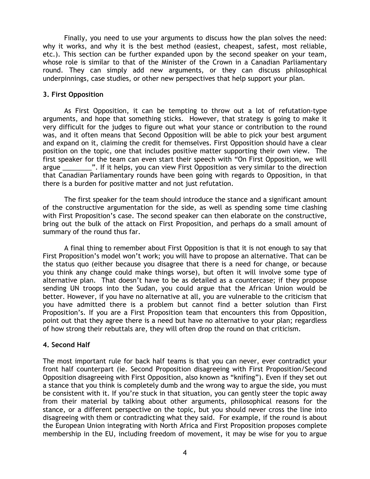Finally, you need to use your arguments to discuss how the plan solves the need: why it works, and why it is the best method (easiest, cheapest, safest, most reliable, etc.). This section can be further expanded upon by the second speaker on your team, whose role is similar to that of the Minister of the Crown in a Canadian Parliamentary round. They can simply add new arguments, or they can discuss philosophical underpinnings, case studies, or other new perspectives that help support your plan.

### **3. First Opposition**

As First Opposition, it can be tempting to throw out a lot of refutation-type arguments, and hope that something sticks. However, that strategy is going to make it very difficult for the judges to figure out what your stance or contribution to the round was, and it often means that Second Opposition will be able to pick your best argument and expand on it, claiming the credit for themselves. First Opposition should have a clear position on the topic, one that includes positive matter supporting their own view. The first speaker for the team can even start their speech with "On First Opposition, we will argue **2008**. If it helps, you can view First Opposition as very similar to the direction that Canadian Parliamentary rounds have been going with regards to Opposition, in that there is a burden for positive matter and not just refutation.

The first speaker for the team should introduce the stance and a significant amount of the constructive argumentation for the side, as well as spending some time clashing with First Proposition's case. The second speaker can then elaborate on the constructive, bring out the bulk of the attack on First Proposition, and perhaps do a small amount of summary of the round thus far.

A final thing to remember about First Opposition is that it is not enough to say that First Proposition's model won't work; you will have to propose an alternative. That can be the status quo (either because you disagree that there is a need for change, or because you think any change could make things worse), but often it will involve some type of alternative plan. That doesn't have to be as detailed as a countercase; if they propose sending UN troops into the Sudan, you could argue that the African Union would be better. However, if you have no alternative at all, you are vulnerable to the criticism that you have admitted there is a problem but cannot find a better solution than First Proposition's. If you are a First Proposition team that encounters this from Opposition, point out that they agree there is a need but have no alternative to your plan; regardless of how strong their rebuttals are, they will often drop the round on that criticism.

## **4. Second Half**

The most important rule for back half teams is that you can never, ever contradict your front half counterpart (ie. Second Proposition disagreeing with First Proposition/Second Opposition disagreeing with First Opposition, also known as "knifing"). Even if they set out a stance that you think is completely dumb and the wrong way to argue the side, you must be consistent with it. If you're stuck in that situation, you can gently steer the topic away from their material by talking about other arguments, philosophical reasons for the stance, or a different perspective on the topic, but you should never cross the line into disagreeing with them or contradicting what they said. For example, if the round is about the European Union integrating with North Africa and First Proposition proposes complete membership in the EU, including freedom of movement, it may be wise for you to argue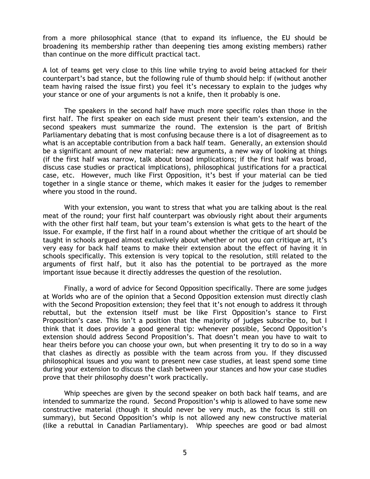from a more philosophical stance (that to expand its influence, the EU should be broadening its membership rather than deepening ties among existing members) rather than continue on the more difficult practical tact.

A lot of teams get very close to this line while trying to avoid being attacked for their counterpart's bad stance, but the following rule of thumb should help: if (without another team having raised the issue first) you feel it's necessary to explain to the judges why your stance or one of your arguments is not a knife, then it probably is one.

The speakers in the second half have much more specific roles than those in the first half. The first speaker on each side must present their team's extension, and the second speakers must summarize the round. The extension is the part of British Parliamentary debating that is most confusing because there is a lot of disagreement as to what is an acceptable contribution from a back half team. Generally, an extension should be a significant amount of new material: new arguments, a new way of looking at things (if the first half was narrow, talk about broad implications; if the first half was broad, discuss case studies or practical implications), philosophical justifications for a practical case, etc. However, much like First Opposition, it's best if your material can be tied together in a single stance or theme, which makes it easier for the judges to remember where you stood in the round.

With your extension, you want to stress that what you are talking about is the real meat of the round; your first half counterpart was obviously right about their arguments with the other first half team, but your team's extension is what gets to the heart of the issue. For example, if the first half in a round about whether the critique of art should be taught in schools argued almost exclusively about whether or not you *can* critique art, it's very easy for back half teams to make their extension about the effect of having it in schools specifically. This extension is very topical to the resolution, still related to the arguments of first half, but it also has the potential to be portrayed as the more important issue because it directly addresses the question of the resolution.

Finally, a word of advice for Second Opposition specifically. There are some judges at Worlds who are of the opinion that a Second Opposition extension must directly clash with the Second Proposition extension; they feel that it's not enough to address it through rebuttal, but the extension itself must be like First Opposition's stance to First Proposition's case. This isn't a position that the majority of judges subscribe to, but I think that it does provide a good general tip: whenever possible, Second Opposition's extension should address Second Proposition's. That doesn't mean you have to wait to hear theirs before you can choose your own, but when presenting it try to do so in a way that clashes as directly as possible with the team across from you. If they discussed philosophical issues and you want to present new case studies, at least spend some time during your extension to discuss the clash between your stances and how your case studies prove that their philosophy doesn't work practically.

Whip speeches are given by the second speaker on both back half teams, and are intended to summarize the round. Second Proposition's whip is allowed to have some new constructive material (though it should never be very much, as the focus is still on summary), but Second Opposition's whip is not allowed any new constructive material (like a rebuttal in Canadian Parliamentary). Whip speeches are good or bad almost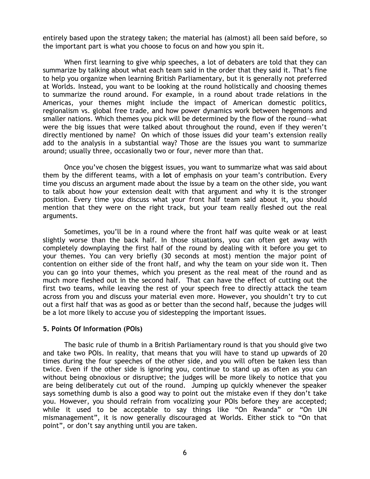entirely based upon the strategy taken; the material has (almost) all been said before, so the important part is what you choose to focus on and how you spin it.

When first learning to give whip speeches, a lot of debaters are told that they can summarize by talking about what each team said in the order that they said it. That's fine to help you organize when learning British Parliamentary, but it is generally not preferred at Worlds. Instead, you want to be looking at the round holistically and choosing themes to summarize the round around. For example, in a round about trade relations in the Americas, your themes might include the impact of American domestic politics, regionalism vs. global free trade, and how power dynamics work between hegemons and smaller nations. Which themes you pick will be determined by the flow of the round—what were the big issues that were talked about throughout the round, even if they weren't directly mentioned by name? On which of those issues did your team's extension really add to the analysis in a substantial way? Those are the issues you want to summarize around; usually three, occasionally two or four, never more than that.

Once you've chosen the biggest issues, you want to summarize what was said about them by the different teams, with a **lot** of emphasis on your team's contribution. Every time you discuss an argument made about the issue by a team on the other side, you want to talk about how your extension dealt with that argument and why it is the stronger position. Every time you discuss what your front half team said about it, you should mention that they were on the right track, but your team really fleshed out the real arguments.

Sometimes, you'll be in a round where the front half was quite weak or at least slightly worse than the back half. In those situations, you can often get away with completely downplaying the first half of the round by dealing with it before you get to your themes. You can very briefly (30 seconds at most) mention the major point of contention on either side of the front half, and why the team on your side won it. Then you can go into your themes, which you present as the real meat of the round and as much more fleshed out in the second half. That can have the effect of cutting out the first two teams, while leaving the rest of your speech free to directly attack the team across from you and discuss your material even more. However, you shouldn't try to cut out a first half that was as good as or better than the second half, because the judges will be a lot more likely to accuse you of sidestepping the important issues.

#### **5. Points Of Information (POIs)**

The basic rule of thumb in a British Parliamentary round is that you should give two and take two POIs. In reality, that means that you will have to stand up upwards of 20 times during the four speeches of the other side, and you will often be taken less than twice. Even if the other side is ignoring you, continue to stand up as often as you can without being obnoxious or disruptive; the judges will be more likely to notice that you are being deliberately cut out of the round. Jumping up quickly whenever the speaker says something dumb is also a good way to point out the mistake even if they don't take you. However, you should refrain from vocalizing your POIs before they are accepted; while it used to be acceptable to say things like "On Rwanda" or "On UN mismanagement", it is now generally discouraged at Worlds. Either stick to "On that point", or don't say anything until you are taken.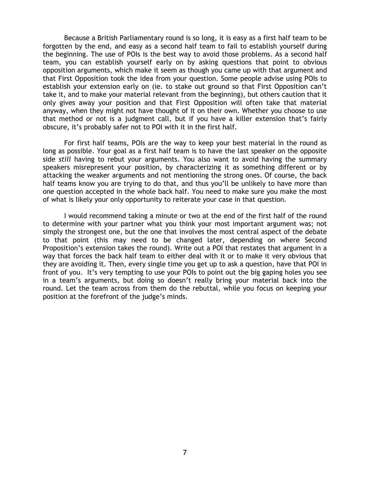Because a British Parliamentary round is so long, it is easy as a first half team to be forgotten by the end, and easy as a second half team to fail to establish yourself during the beginning. The use of POIs is the best way to avoid those problems. As a second half team, you can establish yourself early on by asking questions that point to obvious opposition arguments, which make it seem as though you came up with that argument and that First Opposition took the idea from your question. Some people advise using POIs to establish your extension early on (ie. to stake out ground so that First Opposition can't take it, and to make your material relevant from the beginning), but others caution that it only gives away your position and that First Opposition will often take that material anyway, when they might not have thought of it on their own. Whether you choose to use that method or not is a judgment call, but if you have a killer extension that's fairly obscure, it's probably safer not to POI with it in the first half.

For first half teams, POIs are the way to keep your best material in the round as long as possible. Your goal as a first half team is to have the last speaker on the opposite side *still* having to rebut your arguments. You also want to avoid having the summary speakers misrepresent your position, by characterizing it as something different or by attacking the weaker arguments and not mentioning the strong ones. Of course, the back half teams know you are trying to do that, and thus you'll be unlikely to have more than one question accepted in the whole back half. You need to make sure you make the most of what is likely your only opportunity to reiterate your case in that question.

I would recommend taking a minute or two at the end of the first half of the round to determine with your partner what you think your most important argument was; not simply the strongest one, but the one that involves the most central aspect of the debate to that point (this may need to be changed later, depending on where Second Proposition's extension takes the round). Write out a POI that restates that argument in a way that forces the back half team to either deal with it or to make it very obvious that they are avoiding it. Then, every single time you get up to ask a question, have that POI in front of you. It's very tempting to use your POIs to point out the big gaping holes you see in a team's arguments, but doing so doesn't really bring your material back into the round. Let the team across from them do the rebuttal, while you focus on keeping your position at the forefront of the judge's minds.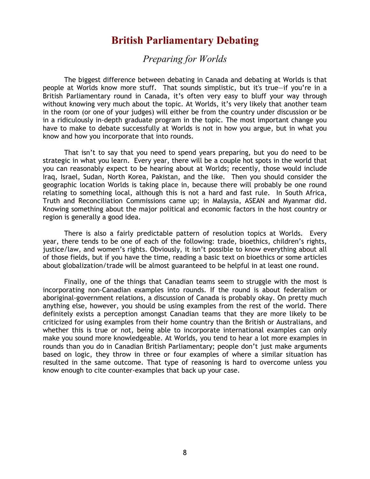## **British Parliamentary Debating**

*Preparing for Worlds* 

<span id="page-8-0"></span>The biggest difference between debating in Canada and debating at Worlds is that people at Worlds know more stuff. That sounds simplistic, but it's true—if you're in a British Parliamentary round in Canada, it's often very easy to bluff your way through without knowing very much about the topic. At Worlds, it's very likely that another team in the room (or one of your judges) will either be from the country under discussion or be in a ridiculously in-depth graduate program in the topic. The most important change you have to make to debate successfully at Worlds is not in how you argue, but in what you know and how you incorporate that into rounds.

That isn't to say that you need to spend years preparing, but you do need to be strategic in what you learn. Every year, there will be a couple hot spots in the world that you can reasonably expect to be hearing about at Worlds; recently, those would include Iraq, Israel, Sudan, North Korea, Pakistan, and the like. Then you should consider the geographic location Worlds is taking place in, because there will probably be one round relating to something local, although this is not a hard and fast rule. In South Africa, Truth and Reconciliation Commissions came up; in Malaysia, ASEAN and Myanmar did. Knowing something about the major political and economic factors in the host country or region is generally a good idea.

There is also a fairly predictable pattern of resolution topics at Worlds. Every year, there tends to be one of each of the following: trade, bioethics, children's rights, justice/law, and women's rights. Obviously, it isn't possible to know everything about all of those fields, but if you have the time, reading a basic text on bioethics or some articles about globalization/trade will be almost guaranteed to be helpful in at least one round.

Finally, one of the things that Canadian teams seem to struggle with the most is incorporating non-Canadian examples into rounds. If the round is about federalism or aboriginal-government relations, a discussion of Canada is probably okay. On pretty much anything else, however, you should be using examples from the rest of the world. There definitely exists a perception amongst Canadian teams that they are more likely to be criticized for using examples from their home country than the British or Australians, and whether this is true or not, being able to incorporate international examples can only make you sound more knowledgeable. At Worlds, you tend to hear a lot more examples in rounds than you do in Canadian British Parliamentary; people don't just make arguments based on logic, they throw in three or four examples of where a similar situation has resulted in the same outcome. That type of reasoning is hard to overcome unless you know enough to cite counter-examples that back up your case.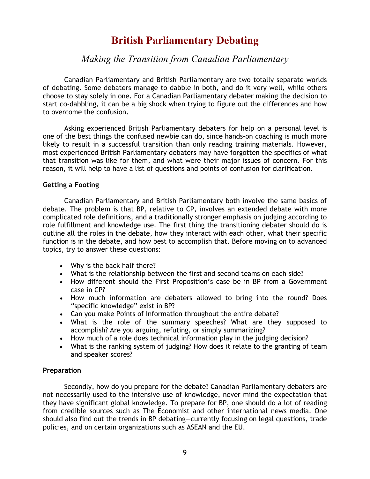## **British Parliamentary Debating**

## *Making the Transition from Canadian Parliamentary*

<span id="page-9-0"></span>Canadian Parliamentary and British Parliamentary are two totally separate worlds of debating. Some debaters manage to dabble in both, and do it very well, while others choose to stay solely in one. For a Canadian Parliamentary debater making the decision to start co-dabbling, it can be a big shock when trying to figure out the differences and how to overcome the confusion.

Asking experienced British Parliamentary debaters for help on a personal level is one of the best things the confused newbie can do, since hands-on coaching is much more likely to result in a successful transition than only reading training materials. However, most experienced British Parliamentary debaters may have forgotten the specifics of what that transition was like for them, and what were their major issues of concern. For this reason, it will help to have a list of questions and points of confusion for clarification.

## **Getting a Footing**

Canadian Parliamentary and British Parliamentary both involve the same basics of debate. The problem is that BP, relative to CP, involves an extended debate with more complicated role definitions, and a traditionally stronger emphasis on judging according to role fulfillment and knowledge use. The first thing the transitioning debater should do is outline all the roles in the debate, how they interact with each other, what their specific function is in the debate, and how best to accomplish that. Before moving on to advanced topics, try to answer these questions:

- Why is the back half there?
- What is the relationship between the first and second teams on each side?
- How different should the First Proposition's case be in BP from a Government case in CP?
- How much information are debaters allowed to bring into the round? Does "specific knowledge" exist in BP?
- Can you make Points of Information throughout the entire debate?
- What is the role of the summary speeches? What are they supposed to accomplish? Are you arguing, refuting, or simply summarizing?
- How much of a role does technical information play in the judging decision?
- What is the ranking system of judging? How does it relate to the granting of team and speaker scores?

#### **Preparation**

Secondly, how do you prepare for the debate? Canadian Parliamentary debaters are not necessarily used to the intensive use of knowledge, never mind the expectation that they have significant global knowledge. To prepare for BP, one should do a lot of reading from credible sources such as The Economist and other international news media. One should also find out the trends in BP debating—currently focusing on legal questions, trade policies, and on certain organizations such as ASEAN and the EU.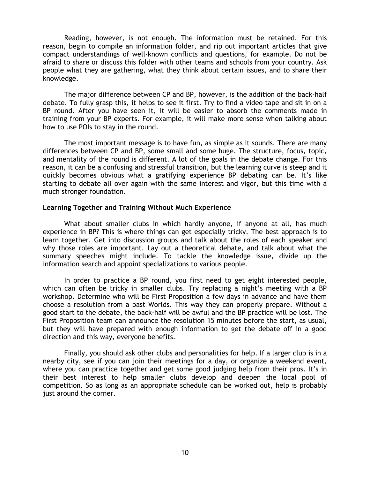Reading, however, is not enough. The information must be retained. For this reason, begin to compile an information folder, and rip out important articles that give compact understandings of well-known conflicts and questions, for example. Do not be afraid to share or discuss this folder with other teams and schools from your country. Ask people what they are gathering, what they think about certain issues, and to share their knowledge.

The major difference between CP and BP, however, is the addition of the back-half debate. To fully grasp this, it helps to see it first. Try to find a video tape and sit in on a BP round. After you have seen it, it will be easier to absorb the comments made in training from your BP experts. For example, it will make more sense when talking about how to use POIs to stay in the round.

The most important message is to have fun, as simple as it sounds. There are many differences between CP and BP, some small and some huge. The structure, focus, topic, and mentality of the round is different. A lot of the goals in the debate change. For this reason, it can be a confusing and stressful transition, but the learning curve is steep and it quickly becomes obvious what a gratifying experience BP debating can be. It's like starting to debate all over again with the same interest and vigor, but this time with a much stronger foundation.

#### **Learning Together and Training Without Much Experience**

What about smaller clubs in which hardly anyone, if anyone at all, has much experience in BP? This is where things can get especially tricky. The best approach is to learn together. Get into discussion groups and talk about the roles of each speaker and why those roles are important. Lay out a theoretical debate, and talk about what the summary speeches might include. To tackle the knowledge issue, divide up the information search and appoint specializations to various people.

In order to practice a BP round, you first need to get eight interested people, which can often be tricky in smaller clubs. Try replacing a night's meeting with a BP workshop. Determine who will be First Proposition a few days in advance and have them choose a resolution from a past Worlds. This way they can properly prepare. Without a good start to the debate, the back-half will be awful and the BP practice will be lost. The First Proposition team can announce the resolution 15 minutes before the start, as usual, but they will have prepared with enough information to get the debate off in a good direction and this way, everyone benefits.

Finally, you should ask other clubs and personalities for help. If a larger club is in a nearby city, see if you can join their meetings for a day, or organize a weekend event, where you can practice together and get some good judging help from their pros. It's in their best interest to help smaller clubs develop and deepen the local pool of competition. So as long as an appropriate schedule can be worked out, help is probably just around the corner.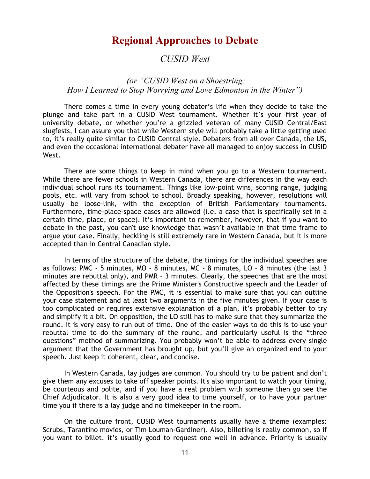## **Regional Approaches to Debate**

## *CUSID West*

## <span id="page-11-0"></span> *(or "CUSID West on a Shoestring: How I Learned to Stop Worrying and Love Edmonton in the Winter")*

There comes a time in every young debater's life when they decide to take the plunge and take part in a CUSID West tournament. Whether it's your first year of university debate, or whether you're a grizzled veteran of many CUSID Central/East slugfests, I can assure you that while Western style will probably take a little getting used to, it's really quite similar to CUSID Central style. Debaters from all over Canada, the US, and even the occasional international debater have all managed to enjoy success in CUSID West.

There are some things to keep in mind when you go to a Western tournament. While there are fewer schools in Western Canada, there are differences in the way each individual school runs its tournament. Things like low-point wins, scoring range, judging pools, etc. will vary from school to school. Broadly speaking, however, resolutions will usually be loose-link, with the exception of British Parliamentary tournaments. Furthermore, time-place-space cases are allowed (i.e. a case that is specifically set in a certain time, place, or space). It's important to remember, however, that if you want to debate in the past, you can't use knowledge that wasn't available in that time frame to argue your case. Finally, heckling is still extremely rare in Western Canada, but it is more accepted than in Central Canadian style.

In terms of the structure of the debate, the timings for the individual speeches are as follows: PMC - 5 minutes, MO - 8 minutes, MC - 8 minutes, LO – 8 minutes (the last 3 minutes are rebuttal only), and PMR – 3 minutes. Clearly, the speeches that are the most affected by these timings are the Prime Minister's Constructive speech and the Leader of the Opposition's speech. For the PMC, it is essential to make sure that you can outline your case statement and at least two arguments in the five minutes given. If your case is too complicated or requires extensive explanation of a plan, it's probably better to try and simplify it a bit. On opposition, the LO still has to make sure that they summarize the round. It is very easy to run out of time. One of the easier ways to do this is to use your rebuttal time to do the summary of the round, and particularly useful is the "three questions" method of summarizing. You probably won't be able to address every single argument that the Government has brought up, but you'll give an organized end to your speech. Just keep it coherent, clear, and concise.

In Western Canada, lay judges are common. You should try to be patient and don't give them any excuses to take off speaker points. It's also important to watch your timing, be courteous and polite, and if you have a real problem with someone then go see the Chief Adjudicator. It is also a very good idea to time yourself, or to have your partner time you if there is a lay judge and no timekeeper in the room.

On the culture front, CUSID West tournaments usually have a theme (examples: Scrubs, Tarantino movies, or Tim Louman-Gardiner). Also, billeting is really common, so if you want to billet, it's usually good to request one well in advance. Priority is usually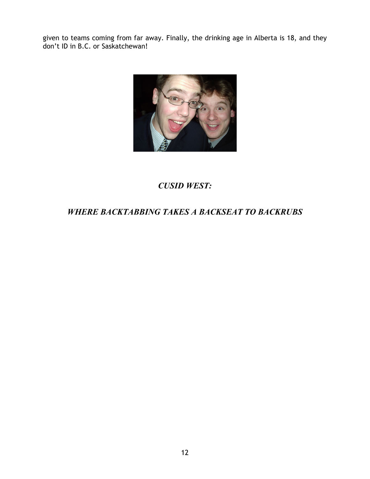given to teams coming from far away. Finally, the drinking age in Alberta is 18, and they don't ID in B.C. or Saskatchewan!



## *CUSID WEST:*

## *WHERE BACKTABBING TAKES A BACKSEAT TO BACKRUBS*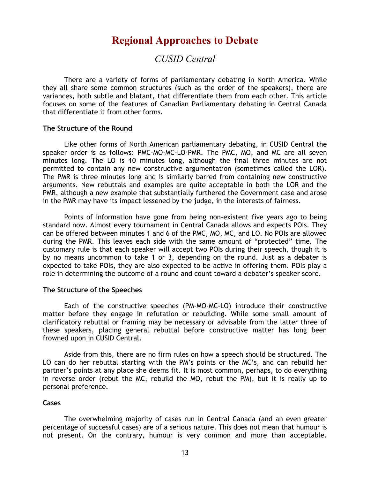## **Regional Approaches to Debate**

## *CUSID Central*

<span id="page-13-0"></span>There are a variety of forms of parliamentary debating in North America. While they all share some common structures (such as the order of the speakers), there are variances, both subtle and blatant, that differentiate them from each other. This article focuses on some of the features of Canadian Parliamentary debating in Central Canada that differentiate it from other forms.

#### **The Structure of the Round**

Like other forms of North American parliamentary debating, in CUSID Central the speaker order is as follows: PMC-MO-MC-LO-PMR. The PMC, MO, and MC are all seven minutes long. The LO is 10 minutes long, although the final three minutes are not permitted to contain any new constructive argumentation (sometimes called the LOR). The PMR is three minutes long and is similarly barred from containing new constructive arguments. New rebuttals and examples are quite acceptable in both the LOR and the PMR, although a new example that substantially furthered the Government case and arose in the PMR may have its impact lessened by the judge, in the interests of fairness.

Points of Information have gone from being non-existent five years ago to being standard now. Almost every tournament in Central Canada allows and expects POIs. They can be offered between minutes 1 and 6 of the PMC, MO, MC, and LO. No POIs are allowed during the PMR. This leaves each side with the same amount of "protected" time. The customary rule is that each speaker will accept two POIs during their speech, though it is by no means uncommon to take 1 or 3, depending on the round. Just as a debater is expected to take POIs, they are also expected to be active in offering them. POIs play a role in determining the outcome of a round and count toward a debater's speaker score.

#### **The Structure of the Speeches**

Each of the constructive speeches (PM-MO-MC-LO) introduce their constructive matter before they engage in refutation or rebuilding. While some small amount of clarificatory rebuttal or framing may be necessary or advisable from the latter three of these speakers, placing general rebuttal before constructive matter has long been frowned upon in CUSID Central.

Aside from this, there are no firm rules on how a speech should be structured. The LO can do her rebuttal starting with the PM's points or the MC's, and can rebuild her partner's points at any place she deems fit. It is most common, perhaps, to do everything in reverse order (rebut the MC, rebuild the MO, rebut the PM), but it is really up to personal preference.

#### **Cases**

The overwhelming majority of cases run in Central Canada (and an even greater percentage of successful cases) are of a serious nature. This does not mean that humour is not present. On the contrary, humour is very common and more than acceptable.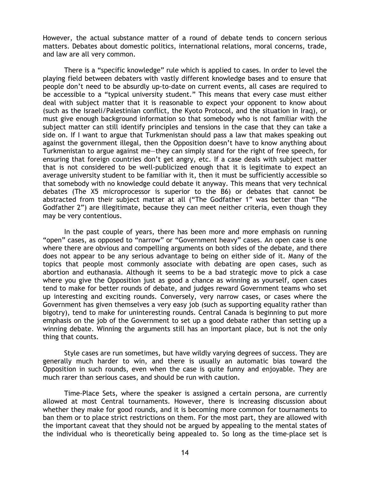However, the actual substance matter of a round of debate tends to concern serious matters. Debates about domestic politics, international relations, moral concerns, trade, and law are all very common.

There is a "specific knowledge" rule which is applied to cases. In order to level the playing field between debaters with vastly different knowledge bases and to ensure that people don't need to be absurdly up-to-date on current events, all cases are required to be accessible to a "typical university student." This means that every case must either deal with subject matter that it is reasonable to expect your opponent to know about (such as the Israeli/Palestinian conflict, the Kyoto Protocol, and the situation in Iraq), or must give enough background information so that somebody who is not familiar with the subject matter can still identify principles and tensions in the case that they can take a side on. If I want to argue that Turkmenistan should pass a law that makes speaking out against the government illegal, then the Opposition doesn't have to know anything about Turkmenistan to argue against me—they can simply stand for the right of free speech, for ensuring that foreign countries don't get angry, etc. If a case deals with subject matter that is not considered to be well-publicized enough that it is legitimate to expect an average university student to be familiar with it, then it must be sufficiently accessible so that somebody with no knowledge could debate it anyway. This means that very technical debates (The X5 microprocessor is superior to the B6) or debates that cannot be abstracted from their subject matter at all ("The Godfather 1" was better than "The Godfather 2") are illegitimate, because they can meet neither criteria, even though they may be very contentious.

In the past couple of years, there has been more and more emphasis on running "open" cases, as opposed to "narrow" or "Government heavy" cases. An open case is one where there are obvious and compelling arguments on both sides of the debate, and there does not appear to be any serious advantage to being on either side of it. Many of the topics that people most commonly associate with debating are open cases, such as abortion and euthanasia. Although it seems to be a bad strategic move to pick a case where you give the Opposition just as good a chance as winning as yourself, open cases tend to make for better rounds of debate, and judges reward Government teams who set up interesting and exciting rounds. Conversely, very narrow cases, or cases where the Government has given themselves a very easy job (such as supporting equality rather than bigotry), tend to make for uninteresting rounds. Central Canada is beginning to put more emphasis on the job of the Government to set up a good debate rather than setting up a winning debate. Winning the arguments still has an important place, but is not the only thing that counts.

Style cases are run sometimes, but have wildly varying degrees of success. They are generally much harder to win, and there is usually an automatic bias toward the Opposition in such rounds, even when the case is quite funny and enjoyable. They are much rarer than serious cases, and should be run with caution.

Time-Place Sets, where the speaker is assigned a certain persona, are currently allowed at most Central tournaments. However, there is increasing discussion about whether they make for good rounds, and it is becoming more common for tournaments to ban them or to place strict restrictions on them. For the most part, they are allowed with the important caveat that they should not be argued by appealing to the mental states of the individual who is theoretically being appealed to. So long as the time-place set is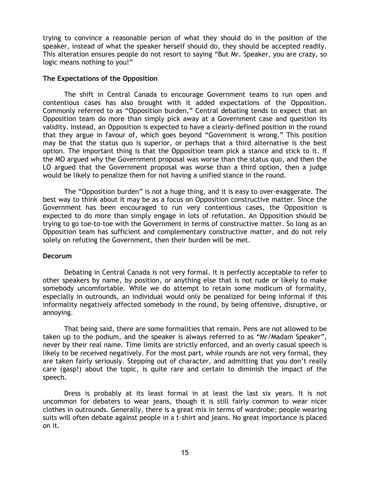trying to convince a reasonable person of what they should do in the position of the speaker, instead of what the speaker herself should do, they should be accepted readily. This alteration ensures people do not resort to saying "But Mr. Speaker, you are crazy, so logic means nothing to you!"

#### **The Expectations of the Opposition**

The shift in Central Canada to encourage Government teams to run open and contentious cases has also brought with it added expectations of the Opposition. Commonly referred to as "Opposition burden," Central debating tends to expect that an Opposition team do more than simply pick away at a Government case and question its validity. Instead, an Opposition is expected to have a clearly-defined position in the round that they argue in favour of, which goes beyond "Government is wrong." This position may be that the status quo is superior, or perhaps that a third alternative is the best option. The important thing is that the Opposition team pick a stance and stick to it. If the MO argued why the Government proposal was worse than the status quo, and then the LO argued that the Government proposal was worse than a third option, then a judge would be likely to penalize them for not having a unified stance in the round.

The "Opposition burden" is not a huge thing, and it is easy to over-exaggerate. The best way to think about it may be as a focus on Opposition constructive matter. Since the Government has been encouraged to run very contentious cases, the Opposition is expected to do more than simply engage in lots of refutation. An Opposition should be trying to go toe-to-toe with the Government in terms of constructive matter. So long as an Opposition team has sufficient and complementary constructive matter, and do not rely solely on refuting the Government, then their burden will be met.

#### **Decorum**

Debating in Central Canada is not very formal. It is perfectly acceptable to refer to other speakers by name, by position, or anything else that is not rude or likely to make somebody uncomfortable. While we do attempt to retain some modicum of formality, especially in outrounds, an individual would only be penalized for being informal if this informality negatively affected somebody in the round, by being offensive, disruptive, or annoying.

That being said, there are some formalities that remain. Pens are not allowed to be taken up to the podium, and the speaker is always referred to as "Mr/Madam Speaker", never by their real name. Time limits are strictly enforced, and an overly casual speech is likely to be received negatively. For the most part, while rounds are not very formal, they are taken fairly seriously. Stepping out of character, and admitting that you don't really care (gasp!) about the topic, is quite rare and certain to diminish the impact of the speech.

Dress is probably at its least formal in at least the last six years. It is not uncommon for debaters to wear jeans, though it is still fairly common to wear nicer clothes in outrounds. Generally, there is a great mix in terms of wardrobe; people wearing suits will often debate against people in a t-shirt and jeans. No great importance is placed on it.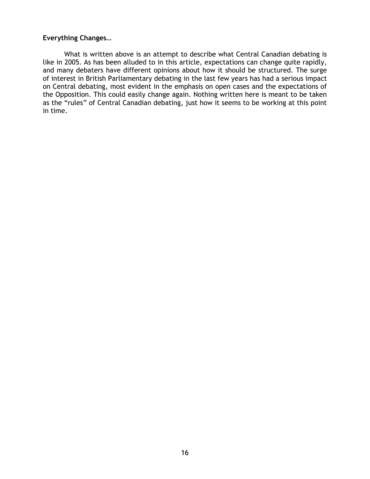## **Everything Changes…**

What is written above is an attempt to describe what Central Canadian debating is like in 2005. As has been alluded to in this article, expectations can change quite rapidly, and many debaters have different opinions about how it should be structured. The surge of interest in British Parliamentary debating in the last few years has had a serious impact on Central debating, most evident in the emphasis on open cases and the expectations of the Opposition. This could easily change again. Nothing written here is meant to be taken as the "rules" of Central Canadian debating, just how it seems to be working at this point in time.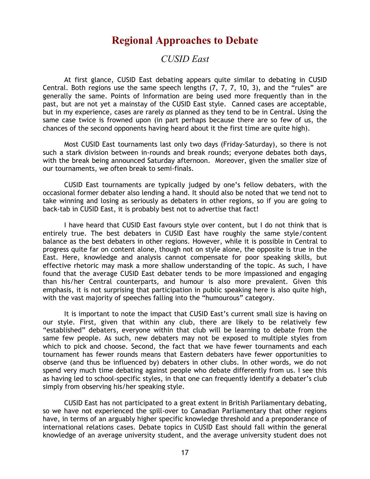## **Regional Approaches to Debate**

## *CUSID East*

<span id="page-17-0"></span>At first glance, CUSID East debating appears quite similar to debating in CUSID Central. Both regions use the same speech lengths (7, 7, 7, 10, 3), and the "rules" are generally the same. Points of Information are being used more frequently than in the past, but are not yet a mainstay of the CUSID East style. Canned cases are acceptable, but in my experience, cases are rarely *as* planned as they tend to be in Central. Using the same case twice is frowned upon (in part perhaps because there are so few of us, the chances of the second opponents having heard about it the first time are quite high).

Most CUSID East tournaments last only two days (Friday-Saturday), so there is not such a stark division between in-rounds and break rounds; everyone debates both days, with the break being announced Saturday afternoon. Moreover, given the smaller size of our tournaments, we often break to semi-finals.

CUSID East tournaments are typically judged by one's fellow debaters, with the occasional former debater also lending a hand. It should also be noted that we tend not to take winning and losing as seriously as debaters in other regions, so if you are going to back-tab in CUSID East, it is probably best not to advertise that fact!

I have heard that CUSID East favours style over content, but I do not think that is entirely true. The best debaters in CUSID East have roughly the same style/content balance as the best debaters in other regions. However, while it is possible in Central to progress quite far on content alone, though not on style alone, the opposite is true in the East. Here, knowledge and analysis cannot compensate for poor speaking skills, but effective rhetoric may mask a more shallow understanding of the topic. As such, I have found that the average CUSID East debater tends to be more impassioned and engaging than his/her Central counterparts, and humour is also more prevalent. Given this emphasis, it is not surprising that participation in public speaking here is also quite high, with the vast majority of speeches falling into the "humourous" category.

It is important to note the impact that CUSID East's current small size is having on our style. First, given that within any club, there are likely to be relatively few "established" debaters, everyone within that club will be learning to debate from the same few people. As such, new debaters may not be exposed to multiple styles from which to pick and choose. Second, the fact that we have fewer tournaments and each tournament has fewer rounds means that Eastern debaters have fewer opportunities to observe (and thus be influenced by) debaters in other clubs. In other words, we do not spend very much time debating against people who debate differently from us. I see this as having led to school-specific styles, in that one can frequently identify a debater's club simply from observing his/her speaking style.

CUSID East has not participated to a great extent in British Parliamentary debating, so we have not experienced the spill-over to Canadian Parliamentary that other regions have, in terms of an arguably higher specific knowledge threshold and a preponderance of international relations cases. Debate topics in CUSID East should fall within the general knowledge of an average university student, and the average university student does not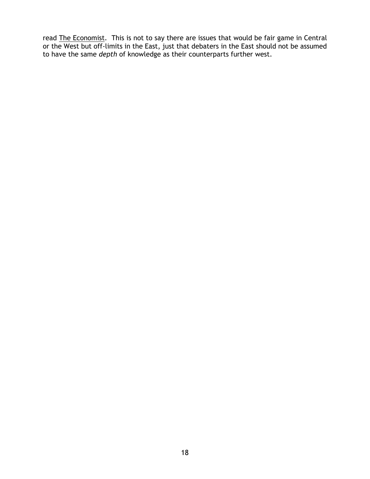read The Economist. This is not to say there are issues that would be fair game in Central or the West but off-limits in the East, just that debaters in the East should not be assumed to have the same *depth* of knowledge as their counterparts further west.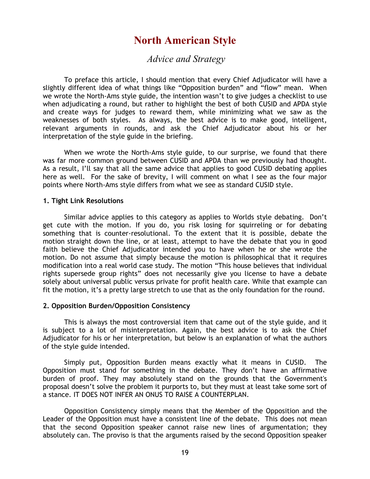## **North American Style**

## *Advice and Strategy*

<span id="page-19-0"></span>To preface this article, I should mention that every Chief Adjudicator will have a slightly different idea of what things like "Opposition burden" and "flow" mean. When we wrote the North-Ams style guide, the intention wasn't to give judges a checklist to use when adjudicating a round, but rather to highlight the best of both CUSID and APDA style and create ways for judges to reward them, while minimizing what we saw as the weaknesses of both styles. As always, the best advice is to make good, intelligent, relevant arguments in rounds, and ask the Chief Adjudicator about his or her interpretation of the style guide in the briefing.

When we wrote the North-Ams style guide, to our surprise, we found that there was far more common ground between CUSID and APDA than we previously had thought. As a result, I'll say that all the same advice that applies to good CUSID debating applies here as well. For the sake of brevity, I will comment on what I see as the four major points where North-Ams style differs from what we see as standard CUSID style.

#### **1. Tight Link Resolutions**

Similar advice applies to this category as applies to Worlds style debating. Don't get cute with the motion. If you do, you risk losing for squirreling or for debating something that is counter-resolutional. To the extent that it is possible, debate the motion straight down the line, or at least, attempt to have the debate that you in good faith believe the Chief Adjudicator intended you to have when he or she wrote the motion. Do not assume that simply because the motion is philosophical that it requires modification into a real world case study. The motion "This house believes that individual rights supersede group rights" does not necessarily give you license to have a debate solely about universal public versus private for profit health care. While that example can fit the motion, it's a pretty large stretch to use that as the only foundation for the round.

#### **2. Opposition Burden/Opposition Consistency**

This is always the most controversial item that came out of the style guide, and it is subject to a lot of misinterpretation. Again, the best advice is to ask the Chief Adjudicator for his or her interpretation, but below is an explanation of what the authors of the style guide intended.

Simply put, Opposition Burden means exactly what it means in CUSID. The Opposition must stand for something in the debate. They don't have an affirmative burden of proof. They may absolutely stand on the grounds that the Government's proposal doesn't solve the problem it purports to, but they must at least take some sort of a stance. IT DOES NOT INFER AN ONUS TO RAISE A COUNTERPLAN.

Opposition Consistency simply means that the Member of the Opposition and the Leader of the Opposition must have a consistent line of the debate. This does not mean that the second Opposition speaker cannot raise new lines of argumentation; they absolutely can. The proviso is that the arguments raised by the second Opposition speaker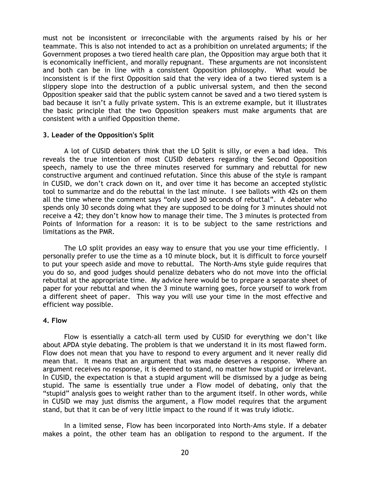must not be inconsistent or irreconcilable with the arguments raised by his or her teammate. This is also not intended to act as a prohibition on unrelated arguments; if the Government proposes a two tiered health care plan, the Opposition may argue both that it is economically inefficient, and morally repugnant. These arguments are not inconsistent and both can be in line with a consistent Opposition philosophy. What would be inconsistent is if the first Opposition said that the very idea of a two tiered system is a slippery slope into the destruction of a public universal system, and then the second Opposition speaker said that the public system cannot be saved and a two tiered system is bad because it isn't a fully private system. This is an extreme example, but it illustrates the basic principle that the two Opposition speakers must make arguments that are consistent with a unified Opposition theme.

#### **3. Leader of the Opposition's Split**

A lot of CUSID debaters think that the LO Split is silly, or even a bad idea. This reveals the true intention of most CUSID debaters regarding the Second Opposition speech, namely to use the three minutes reserved for summary and rebuttal for new constructive argument and continued refutation. Since this abuse of the style is rampant in CUSID, we don't crack down on it, and over time it has become an accepted stylistic tool to summarize and do the rebuttal in the last minute. I see ballots with 42s on them all the time where the comment says "only used 30 seconds of rebuttal". A debater who spends only 30 seconds doing what they are supposed to be doing for 3 minutes should not receive a 42; they don't know how to manage their time. The 3 minutes is protected from Points of Information for a reason: it is to be subject to the same restrictions and limitations as the PMR.

The LO split provides an easy way to ensure that you use your time efficiently. I personally prefer to use the time as a 10 minute block, but it is difficult to force yourself to put your speech aside and move to rebuttal. The North-Ams style guide requires that you do so, and good judges should penalize debaters who do not move into the official rebuttal at the appropriate time. My advice here would be to prepare a separate sheet of paper for your rebuttal and when the 3 minute warning goes, force yourself to work from a different sheet of paper. This way you will use your time in the most effective and efficient way possible.

#### **4. Flow**

Flow is essentially a catch-all term used by CUSID for everything we don't like about APDA style debating. The problem is that we understand it in its most flawed form. Flow does not mean that you have to respond to every argument and it never really did mean that. It means that an argument that was made deserves a response. Where an argument receives no response, it is deemed to stand, no matter how stupid or irrelevant. In CUSID, the expectation is that a stupid argument will be dismissed by a judge as being stupid. The same is essentially true under a Flow model of debating, only that the "stupid" analysis goes to weight rather than to the argument itself. In other words, while in CUSID we may just dismiss the argument, a Flow model requires that the argument stand, but that it can be of very little impact to the round if it was truly idiotic.

In a limited sense, Flow has been incorporated into North-Ams style. If a debater makes a point, the other team has an obligation to respond to the argument. If the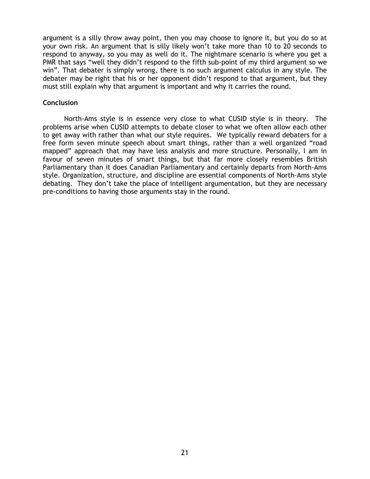argument is a silly throw away point, then you may choose to ignore it, but you do so at your own risk. An argument that is silly likely won't take more than 10 to 20 seconds to respond to anyway, so you may as well do it. The nightmare scenario is where you get a PMR that says "well they didn't respond to the fifth sub-point of my third argument so we win". That debater is simply wrong, there is no such argument calculus in any style. The debater may be right that his or her opponent didn't respond to that argument, but they must still explain why that argument is important and why it carries the round.

#### **Conclusion**

North-Ams style is in essence very close to what CUSID style is in theory. The problems arise when CUSID attempts to debate closer to what we often allow each other to get away with rather than what our style requires. We typically reward debaters for a free form seven minute speech about smart things, rather than a well organized "road mapped" approach that may have less analysis and more structure. Personally, I am in favour of seven minutes of smart things, but that far more closely resembles British Parliamentary than it does Canadian Parliamentary and certainly departs from North-Ams style. Organization, structure, and discipline are essential components of North-Ams style debating. They don't take the place of intelligent argumentation, but they are necessary pre-conditions to having those arguments stay in the round.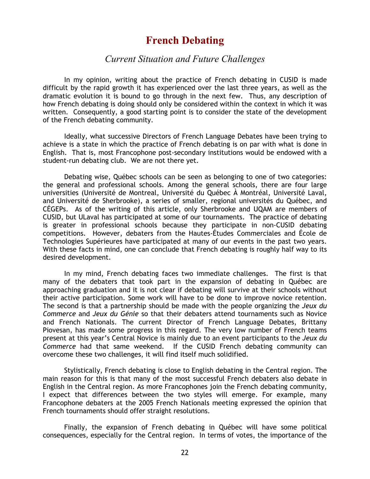## **French Debating**

## *Current Situation and Future Challenges*

<span id="page-22-0"></span>In my opinion, writing about the practice of French debating in CUSID is made difficult by the rapid growth it has experienced over the last three years, as well as the dramatic evolution it is bound to go through in the next few. Thus, any description of how French debating is doing should only be considered within the context in which it was written. Consequently, a good starting point is to consider the state of the development of the French debating community.

Ideally, what successive Directors of French Language Debates have been trying to achieve is a state in which the practice of French debating is on par with what is done in English. That is, most Francophone post-secondary institutions would be endowed with a student-run debating club. We are not there yet.

Debating wise, Québec schools can be seen as belonging to one of two categories: the general and professional schools. Among the general schools, there are four large universities (Université de Montreal, Université du Québec À Montréal, Université Laval, and Université de Sherbrooke), a series of smaller, regional universités du Québec, and CÉGEPs. As of the writing of this article, only Sherbrooke and UQAM are members of CUSID, but ULaval has participated at some of our tournaments. The practice of debating is greater in professional schools because they participate in non-CUSID debating competitions. However, debaters from the Hautes-Études Commerciales and École de Technologies Supérieures have participated at many of our events in the past two years. With these facts in mind, one can conclude that French debating is roughly half way to its desired development.

In my mind, French debating faces two immediate challenges. The first is that many of the debaters that took part in the expansion of debating in Québec are approaching graduation and it is not clear if debating will survive at their schools without their active participation. Some work will have to be done to improve novice retention. The second is that a partnership should be made with the people organizing the *Jeux du Commerce* and *Jeux du Génie* so that their debaters attend tournaments such as Novice and French Nationals. The current Director of French Language Debates, Brittany Piovesan, has made some progress in this regard. The very low number of French teams present at this year's Central Novice is mainly due to an event participants to the *Jeux du Commerce* had that same weekend. If the CUSID French debating community can overcome these two challenges, it will find itself much solidified.

Stylistically, French debating is close to English debating in the Central region. The main reason for this is that many of the most successful French debaters also debate in English in the Central region. As more Francophones join the French debating community, I expect that differences between the two styles will emerge. For example, many Francophone debaters at the 2005 French Nationals meeting expressed the opinion that French tournaments should offer straight resolutions.

Finally, the expansion of French debating in Québec will have some political consequences, especially for the Central region. In terms of votes, the importance of the